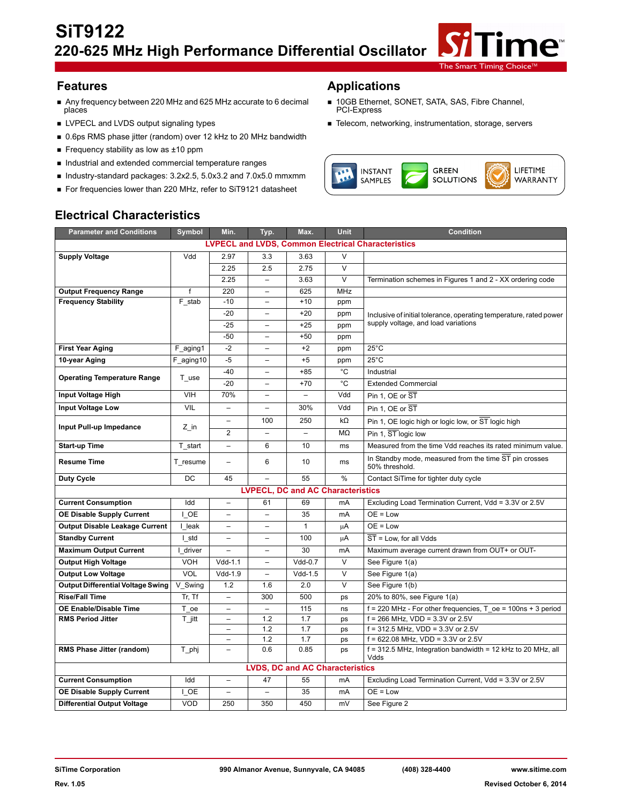

- Any frequency between 220 MHz and 625 MHz accurate to 6 decimal<br>places Any frequency between 220 MHz and 625 MHz accurate to 6 decimal ■ 10GB Ethernet, SONET, SATA, SAS, Fibre Channel, places
- 
- 0.6ps RMS phase jitter (random) over 12 kHz to 20 MHz bandwidth
- Frequency stability as low as  $±10$  ppm
- $\blacksquare$  Industrial and extended commercial temperature ranges
- Industry-standard packages: 3.2x2.5, 5.0x3.2 and 7.0x5.0 mmxmm
- For frequencies lower than 220 MHz, refer to SiT9121 datasheet

#### **Features Applications**

- 
- LVPECL and LVDS output signaling types Telecom and Telecom, networking, instrumentation, storage, servers



# **Electrical Characteristics**

| <b>Parameter and Conditions</b>                           | Symbol       | Min.                     | Typ.                     | Max.                                   | Unit                    | <b>Condition</b>                                                                                       |  |  |
|-----------------------------------------------------------|--------------|--------------------------|--------------------------|----------------------------------------|-------------------------|--------------------------------------------------------------------------------------------------------|--|--|
| <b>LVPECL and LVDS, Common Electrical Characteristics</b> |              |                          |                          |                                        |                         |                                                                                                        |  |  |
| <b>Supply Voltage</b>                                     | Vdd          | 2.97                     | 3.3                      | 3.63                                   | $\vee$                  |                                                                                                        |  |  |
|                                                           |              | 2.25                     | 2.5                      | 2.75                                   | $\overline{\mathsf{v}}$ |                                                                                                        |  |  |
|                                                           |              | 2.25                     | $\equiv$                 | 3.63                                   | $\overline{\mathsf{v}}$ | Termination schemes in Figures 1 and 2 - XX ordering code                                              |  |  |
| <b>Output Frequency Range</b>                             | $\mathsf{f}$ | 220                      | $\overline{\phantom{0}}$ | 625                                    | <b>MHz</b>              |                                                                                                        |  |  |
| <b>Frequency Stability</b>                                | F stab       | $-10$                    | -                        | $+10$                                  | ppm                     |                                                                                                        |  |  |
|                                                           |              | $-20$                    | $\overline{a}$           | $+20$                                  | ppm                     | Inclusive of initial tolerance, operating temperature, rated power                                     |  |  |
|                                                           |              | $-25$                    | $\overline{\phantom{0}}$ | $+25$                                  | ppm                     | supply voltage, and load variations                                                                    |  |  |
|                                                           |              | $-50$                    | $\overline{\phantom{0}}$ | $+50$                                  | ppm                     |                                                                                                        |  |  |
| <b>First Year Aging</b>                                   | F_aging1     | $-2$                     | $\overline{a}$           | $+2$                                   | ppm                     | $25^{\circ}$ C                                                                                         |  |  |
| 10-year Aging                                             | F aging10    | $-5$                     | -                        | $+5$                                   | ppm                     | $25^{\circ}$ C                                                                                         |  |  |
| <b>Operating Temperature Range</b>                        | T use        | $-40$                    | $\overline{\phantom{0}}$ | $+85$                                  | °C                      | Industrial                                                                                             |  |  |
|                                                           |              | $-20$                    | $\overline{\phantom{0}}$ | $+70$                                  | °C                      | <b>Extended Commercial</b>                                                                             |  |  |
| Input Voltage High                                        | <b>VIH</b>   | 70%                      | $\overline{\phantom{a}}$ | $\overline{\phantom{a}}$               | Vdd                     | Pin 1, OE or ST                                                                                        |  |  |
| Input Voltage Low                                         | VIL          | $\equiv$                 | $\overline{\phantom{a}}$ | 30%                                    | Vdd                     | Pin 1, OE or ST                                                                                        |  |  |
| Input Pull-up Impedance                                   | Z in         | $\overline{\phantom{0}}$ | 100                      | 250                                    | $k\Omega$               | Pin 1, OE logic high or logic low, or ST logic high                                                    |  |  |
|                                                           |              | $\overline{2}$           | ۳                        |                                        | ΜΩ                      | Pin 1, ST logic low                                                                                    |  |  |
| <b>Start-up Time</b>                                      | T start      | $\overline{a}$           | 6                        | 10                                     | ms                      | Measured from the time Vdd reaches its rated minimum value.                                            |  |  |
| <b>Resume Time</b>                                        | T resume     | $\overline{\phantom{0}}$ | 6                        | 10                                     | ms                      | In Standby mode, measured from the time ST pin crosses<br>50% threshold.                               |  |  |
| <b>Duty Cycle</b>                                         | DC           | 45                       |                          | 55                                     | %                       | Contact SiTime for tighter duty cycle                                                                  |  |  |
| <b>LVPECL, DC and AC Characteristics</b>                  |              |                          |                          |                                        |                         |                                                                                                        |  |  |
| <b>Current Consumption</b>                                | Idd          | $\overline{a}$           | 61                       | 69                                     | mA                      | Excluding Load Termination Current, Vdd = 3.3V or 2.5V                                                 |  |  |
| <b>OE Disable Supply Current</b>                          | I OE         | $\overline{\phantom{0}}$ | $\overline{\phantom{0}}$ | 35                                     | mA                      | $OE = Low$                                                                                             |  |  |
| <b>Output Disable Leakage Current</b>                     | I leak       | -                        | $\overline{\phantom{0}}$ | $\mathbf{1}$                           | μA                      | $OE = Low$                                                                                             |  |  |
| <b>Standby Current</b>                                    | I std        | $\overline{a}$           | $\overline{\phantom{0}}$ | 100                                    | μA                      | ST = Low. for all Vdds                                                                                 |  |  |
| <b>Maximum Output Current</b>                             | I driver     |                          |                          | 30                                     | mA                      | Maximum average current drawn from OUT+ or OUT-                                                        |  |  |
| <b>Output High Voltage</b>                                | <b>VOH</b>   | $Vdd-1.1$                | $\overline{a}$           | $Vdd-0.7$                              | $\vee$                  | See Figure 1(a)                                                                                        |  |  |
| <b>Output Low Voltage</b>                                 | VOL          | Vdd-1.9                  | $\overline{a}$           | $Vdd-1.5$                              | $\vee$                  | See Figure 1(a)                                                                                        |  |  |
| <b>Output Differential Voltage Swing</b>                  | V Swing      | 1.2                      | 1.6                      | 2.0                                    | $\vee$                  | See Figure 1(b)                                                                                        |  |  |
| <b>Rise/Fall Time</b>                                     | Tr, Tf       | $\overline{\phantom{0}}$ | 300                      | 500                                    | ps                      | 20% to 80%, see Figure 1(a)                                                                            |  |  |
| <b>OE Enable/Disable Time</b>                             | T_oe         |                          | $\overline{\phantom{0}}$ | 115                                    | ns                      | $f = 220$ MHz - For other frequencies, T oe = 100ns + 3 period                                         |  |  |
| <b>RMS Period Jitter</b>                                  | T jitt       | $\overline{\phantom{0}}$ | 1.2                      | 1.7                                    | ps                      | $f = 266$ MHz, VDD = $3.3V$ or 2.5V                                                                    |  |  |
|                                                           |              | $\equiv$                 | 1.2                      | 1.7                                    | ps                      | $f = 312.5$ MHz, VDD = $3.3V$ or 2.5V                                                                  |  |  |
| RMS Phase Jitter (random)                                 | T_phj        | $\overline{\phantom{0}}$ | 1.2<br>0.6               | 1.7<br>0.85                            | ps<br>ps                | $f = 622.08$ MHz, VDD = 3.3V or 2.5V<br>$f = 312.5$ MHz, Integration bandwidth = 12 kHz to 20 MHz, all |  |  |
|                                                           |              |                          |                          |                                        |                         | Vdds                                                                                                   |  |  |
|                                                           |              |                          |                          | <b>LVDS, DC and AC Characteristics</b> |                         |                                                                                                        |  |  |
| <b>Current Consumption</b>                                | Idd          | $\overline{\phantom{0}}$ | 47                       | 55                                     | mA                      | Excluding Load Termination Current, Vdd = 3.3V or 2.5V                                                 |  |  |
| <b>OE Disable Supply Current</b>                          | I OE         |                          |                          | 35                                     | mA                      | $OE = Low$                                                                                             |  |  |
| <b>Differential Output Voltage</b>                        | VOD          | 250                      | 350                      | 450                                    | mV                      | See Figure 2                                                                                           |  |  |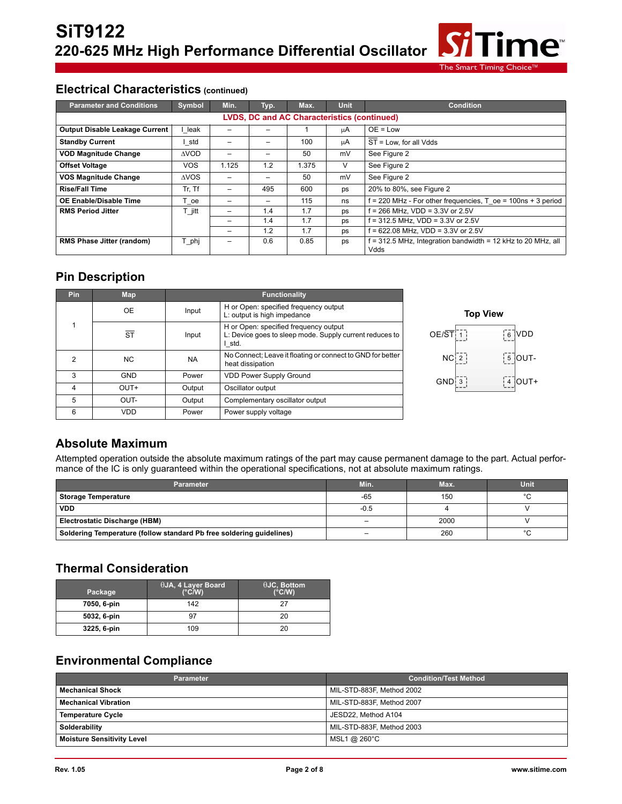

#### **Electrical Characteristics (continued)**

| <b>Parameter and Conditions</b>                    | Symbol      | Min.                     | Typ. | Max.  | Unit | <b>Condition</b>                                                       |  |  |
|----------------------------------------------------|-------------|--------------------------|------|-------|------|------------------------------------------------------------------------|--|--|
| <b>LVDS, DC and AC Characteristics (continued)</b> |             |                          |      |       |      |                                                                        |  |  |
| <b>Output Disable Leakage Current</b>              | leak        |                          |      |       | μA   | $OE = Low$                                                             |  |  |
| <b>Standby Current</b>                             | l std       | -                        |      | 100   | μA   | ST = Low, for all Vdds                                                 |  |  |
| <b>VOD Magnitude Change</b>                        | <b>AVOD</b> |                          |      | 50    | mV   | See Figure 2                                                           |  |  |
| <b>Offset Voltage</b>                              | <b>VOS</b>  | 1.125                    | 1.2  | 1.375 | v    | See Figure 2                                                           |  |  |
| <b>VOS Magnitude Change</b>                        | <b>AVOS</b> | $\overline{\phantom{0}}$ | -    | 50    | mV   | See Figure 2                                                           |  |  |
| <b>Rise/Fall Time</b>                              | Tr. Tf      | -                        | 495  | 600   | ps   | 20% to 80%, see Figure 2                                               |  |  |
| OE Enable/Disable Time                             | T oe        |                          |      | 115   | ns   | $f = 220$ MHz - For other frequencies, T oe = 100ns + 3 period         |  |  |
| <b>RMS Period Jitter</b>                           | Г jitt      | $\qquad \qquad$          | 1.4  | 1.7   | ps   | $f = 266$ MHz. VDD = 3.3V or 2.5V                                      |  |  |
|                                                    |             | -                        | 1.4  | 1.7   | ps   | $f = 312.5$ MHz, VDD = $3.3V$ or 2.5V                                  |  |  |
|                                                    |             | $\overline{\phantom{0}}$ | 1.2  | 1.7   | ps   | $f = 622.08$ MHz, VDD = 3.3V or 2.5V                                   |  |  |
| <b>RMS Phase Jitter (random)</b>                   | T_phj       |                          | 0.6  | 0.85  | ps   | $f = 312.5$ MHz, Integration bandwidth = 12 kHz to 20 MHz, all<br>Vdds |  |  |

#### **Pin Description**

| Pin | Map                    | <b>Functionality</b> |                                                                                                            |  |  |  |
|-----|------------------------|----------------------|------------------------------------------------------------------------------------------------------------|--|--|--|
|     | <b>OE</b>              | Input                | H or Open: specified frequency output<br>L: output is high impedance                                       |  |  |  |
|     | $\overline{\text{ST}}$ | Input                | H or Open: specified frequency output<br>L: Device goes to sleep mode. Supply current reduces to<br>I std. |  |  |  |
| 2   | N <sub>C</sub>         | <b>NA</b>            | No Connect; Leave it floating or connect to GND for better<br>heat dissipation                             |  |  |  |
| 3   | <b>GND</b>             | Power                | <b>VDD Power Supply Ground</b>                                                                             |  |  |  |
| 4   | OUT+                   | Output               | Oscillator output                                                                                          |  |  |  |
| 5   | OUT-                   | Output               | Complementary oscillator output                                                                            |  |  |  |
| 6   | VDD                    | Power                | Power supply voltage                                                                                       |  |  |  |



## **Absolute Maximum**

Attempted operation outside the absolute maximum ratings of the part may cause permanent damage to the part. Actual performance of the IC is only guaranteed within the operational specifications, not at absolute maximum ratings.

| <b>Parameter</b>                                                     | Min.                     | Max. | <b>Unit</b> |
|----------------------------------------------------------------------|--------------------------|------|-------------|
| <b>Storage Temperature</b>                                           | $-65$                    | 150  | $\circ$     |
| <b>VDD</b>                                                           | $-0.5$                   |      |             |
| Electrostatic Discharge (HBM)                                        | -                        | 2000 |             |
| Soldering Temperature (follow standard Pb free soldering quidelines) | $\overline{\phantom{0}}$ | 260  |             |

## **Thermal Consideration**

| Package     | $\theta$ JA, 4 Layer Board<br>$(^{\circ}C/W)$ | $\theta$ JC, Bottom<br>$(^{\circ}C/W)$ |
|-------------|-----------------------------------------------|----------------------------------------|
| 7050, 6-pin | 142                                           | 27                                     |
| 5032, 6-pin | 97                                            | 20                                     |
| 3225, 6-pin | 109                                           | 20                                     |

# **Environmental Compliance**

| <b>Parameter</b>                  | <b>Condition/Test Method</b> |
|-----------------------------------|------------------------------|
| <b>Mechanical Shock</b>           | MIL-STD-883F, Method 2002    |
| <b>Mechanical Vibration</b>       | MIL-STD-883F, Method 2007    |
| <b>Temperature Cycle</b>          | JESD22, Method A104          |
| Solderability                     | MIL-STD-883F, Method 2003    |
| <b>Moisture Sensitivity Level</b> | MSL1 @ 260°C                 |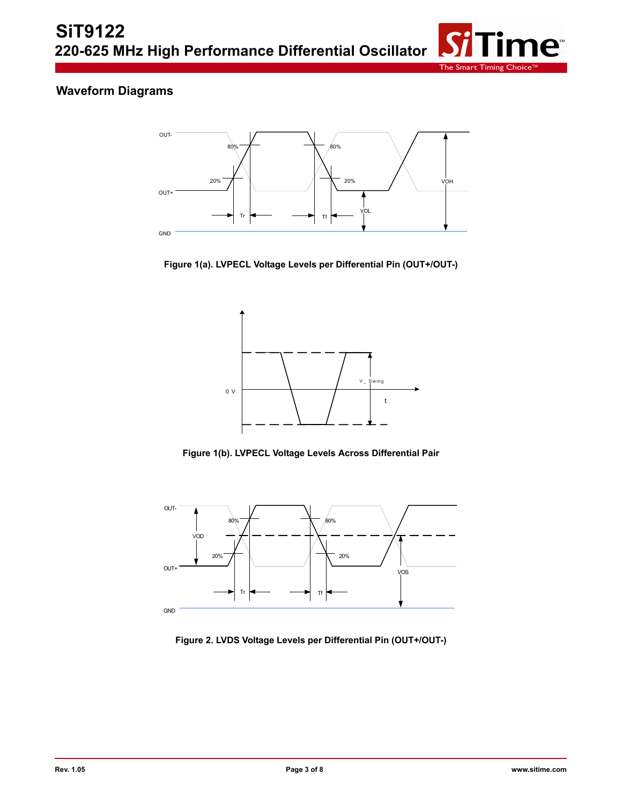

# **Waveform Diagrams**



**Figure 1(a). LVPECL Voltage Levels per Differential Pin (OUT+/OUT-)**



**Figure 1(b). LVPECL Voltage Levels Across Differential Pair**



**Figure 2. LVDS Voltage Levels per Differential Pin (OUT+/OUT-)**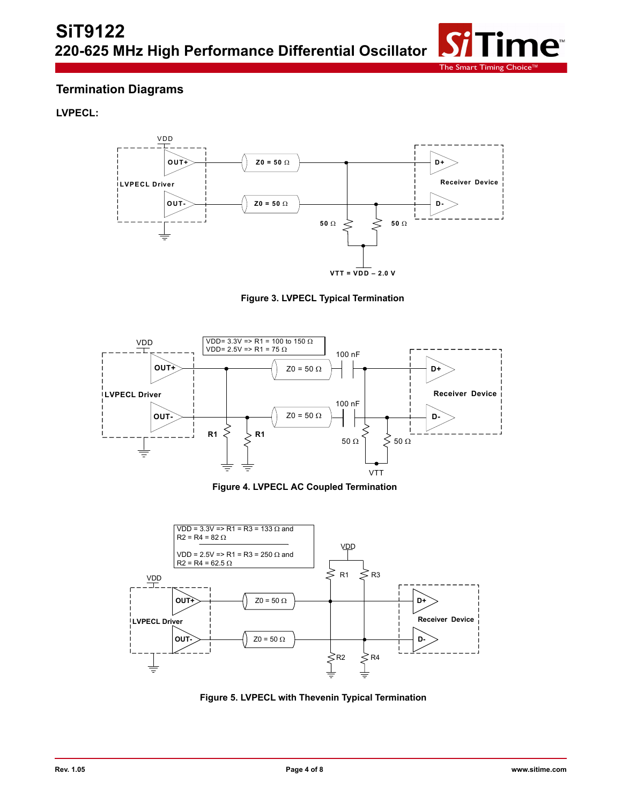

### **Termination Diagrams**

#### **LVPECL:**



**Figure 3. LVPECL Typical Termination**



**Figure 4. LVPECL AC Coupled Termination**



**Figure 5. LVPECL with Thevenin Typical Termination**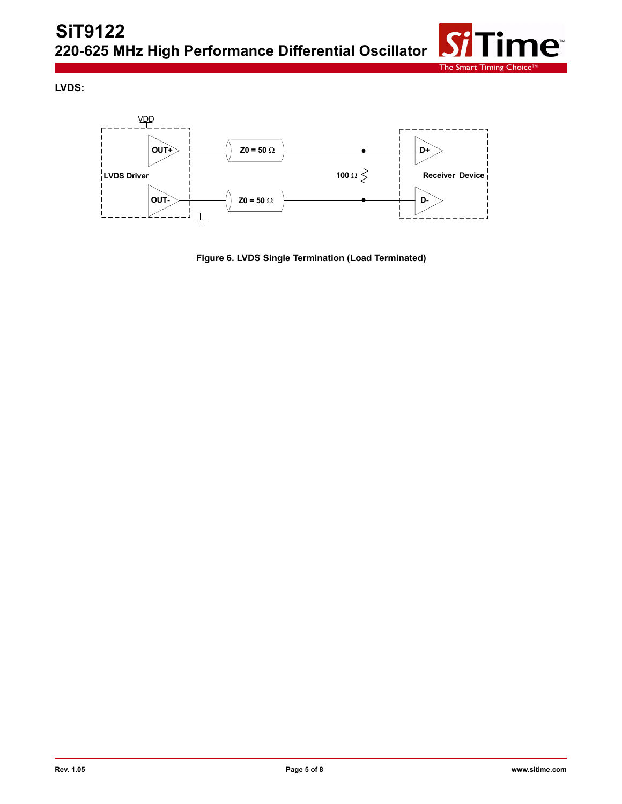

**LVDS:**



**Figure 6. LVDS Single Termination (Load Terminated)**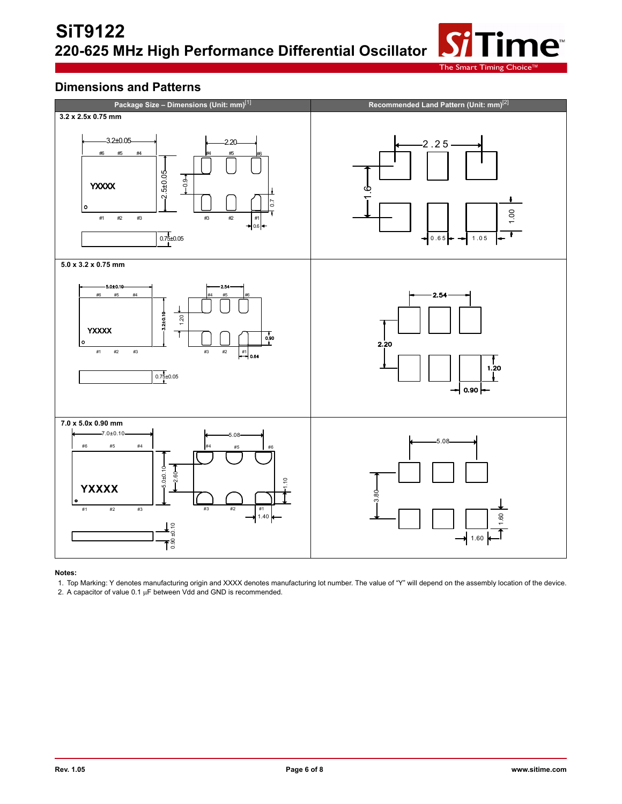The Smart Timing

ne<sup>®</sup>

### **Dimensions and Patterns**



#### **Notes:**

1. Top Marking: Y denotes manufacturing origin and XXXX denotes manufacturing lot number. The value of "Y" will depend on the assembly location of the device.

2. A capacitor of value  $0.1 \mu F$  between Vdd and GND is recommended.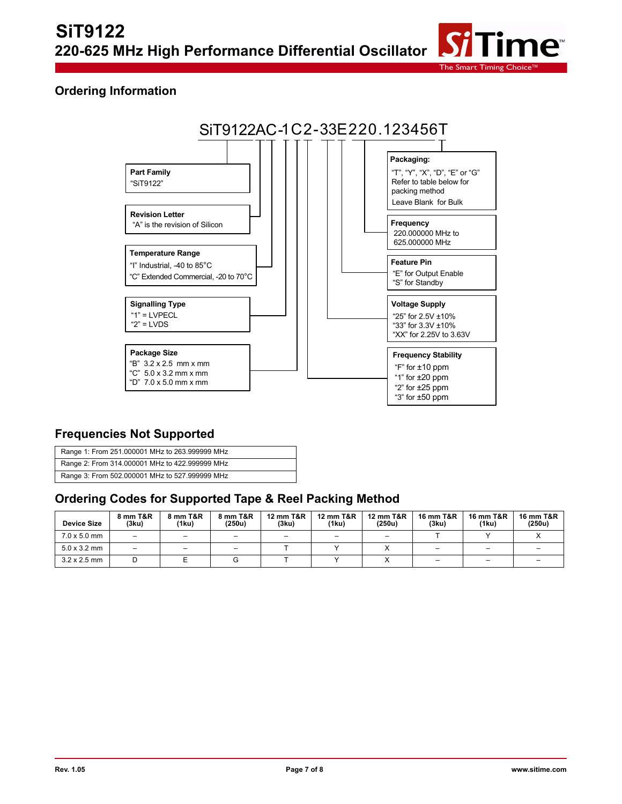

### **Ordering Information**



#### **Frequencies Not Supported**

| Range 1: From 251.000001 MHz to 263.999999 MHz |
|------------------------------------------------|
| Range 2: From 314.000001 MHz to 422.999999 MHz |
| Range 3: From 502.000001 MHz to 527.999999 MHz |

#### **Ordering Codes for Supported Tape & Reel Packing Method**

| <b>Device Size</b>  | <b>8 mm T&amp;R</b><br>(3ku) | 8 mm T&R<br>(1ku) | 8 mm T&R<br>(250u)       | 12 mm T&R<br>(3ku) | <b>12 mm T&amp;R</b><br>(1ku) | <b>12 mm T&amp;R</b><br>(250u) | 16 mm T&R<br>(3ku) | <b>16 mm T&amp;R</b><br>(1ku) | <b>16 mm T&amp;R</b><br>(250u) |
|---------------------|------------------------------|-------------------|--------------------------|--------------------|-------------------------------|--------------------------------|--------------------|-------------------------------|--------------------------------|
| $7.0 \times 5.0$ mm | $\overline{\phantom{0}}$     | -                 | -                        |                    | -                             |                                |                    |                               |                                |
| $5.0 \times 3.2$ mm | $\overline{\phantom{0}}$     | -                 | $\overline{\phantom{0}}$ |                    |                               |                                | -                  | -                             |                                |
| $3.2 \times 2.5$ mm |                              |                   |                          |                    |                               |                                | -                  | -                             |                                |